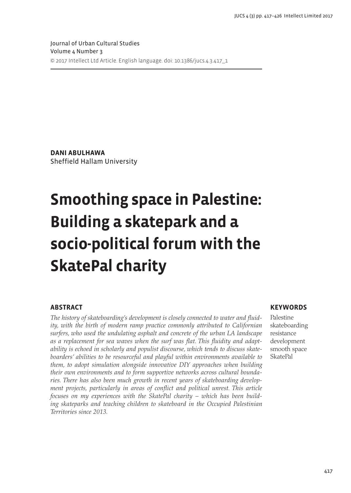**Dani Abulhawa** Sheffield Hallam University

# **Smoothing space in Palestine: Building a skatepark and a socio-political forum with the SkatePal charity**

# **Abstract**

*The history of skateboarding's development is closely connected to water and fluidity, with the birth of modern ramp practice commonly attributed to Californian surfers, who used the undulating asphalt and concrete of the urban LA landscape as a replacement for sea waves when the surf was flat. This fluidity and adaptability is echoed in scholarly and populist discourse, which tends to discuss skateboarders' abilities to be resourceful and playful within environments available to them, to adopt simulation alongside innovative DIY approaches when building their own environments and to form supportive networks across cultural boundaries. There has also been much growth in recent years of skateboarding development projects, particularly in areas of conflict and political unrest. This article focuses on my experiences with the SkatePal charity – which has been building skateparks and teaching children to skateboard in the Occupied Palestinian Territories since 2013.* 

# **Keywords**

Palestine skateboarding resistance development smooth space SkatePal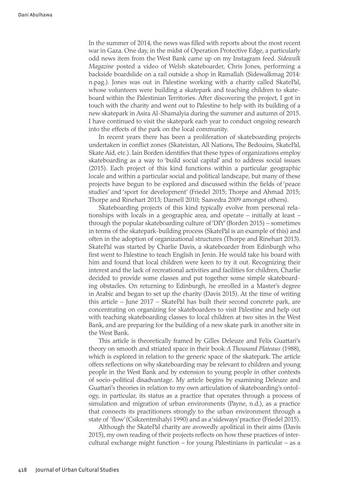In the summer of 2014, the news was filled with reports about the most recent war in Gaza. One day, in the midst of Operation Protective Edge, a particularly odd news item from the West Bank came up on my Instagram feed. *Sidewalk Magazine* posted a video of Welsh skateboarder, Chris Jones, performing a backside boardslide on a rail outside a shop in Ramallah (Sidewalkmag 2014: n.pag.). Jones was out in Palestine working with a charity called SkatePal, whose volunteers were building a skatepark and teaching children to skateboard within the Palestinian Territories. After discovering the project, I got in touch with the charity and went out to Palestine to help with its building of a new skatepark in Asira Al-Shamalyia during the summer and autumn of 2015. I have continued to visit the skatepark each year to conduct ongoing research into the effects of the park on the local community.

In recent years there has been a proliferation of skateboarding projects undertaken in conflict zones (Skateistan, All Nations, The Bedouins, SkatePal, Skate Aid, etc.). Iain Borden identifies that these types of organizations employ skateboarding as a way to 'build social capital' and to address social issues (2015). Each project of this kind functions within a particular geographic locale and within a particular social and political landscape, but many of these projects have begun to be explored and discussed within the fields of 'peace studies' and 'sport for development' (Friedel 2015; Thorpe and Ahmad 2015; Thorpe and Rinehart 2013; Darnell 2010; Saavedra 2009 amongst others).

Skateboarding projects of this kind typically evolve from personal relationships with locals in a geographic area, and operate – initially at least – through the popular skateboarding culture of 'DIY' (Borden 2015) – sometimes in terms of the skatepark-building process (SkatePal is an example of this) and often in the adoption of organizational structures (Thorpe and Rinehart 2013). SkatePal was started by Charlie Davis, a skateboarder from Edinburgh who first went to Palestine to teach English in Jenin. He would take his board with him and found that local children were keen to try it out. Recognizing their interest and the lack of recreational activities and facilities for children, Charlie decided to provide some classes and put together some simple skateboarding obstacles. On returning to Edinburgh, he enrolled in a Master's degree in Arabic and began to set up the charity (Davis 2015). At the time of writing this article – June 2017 – SkatePal has built their second concrete park, are concentrating on organizing for skateboarders to visit Palestine and help out with teaching skateboarding classes to local children at two sites in the West Bank, and are preparing for the building of a new skate park in another site in the West Bank.

This article is theoretically framed by Gilles Deleuze and Felix Guattari's theory on smooth and striated space in their book *A Thousand Plateaus* (1988), which is explored in relation to the generic space of the skatepark. The article offers reflections on why skateboarding may be relevant to children and young people in the West Bank and by extension to young people in other contexts of socio-political disadvantage. My article begins by examining Deleuze and Guattari's theories in relation to my own articulation of skateboarding's ontology, in particular, its status as a practice that operates through a process of simulation and migration of urban environments (Payne, n.d.), as a practice that connects its practitioners strongly to the urban environment through a state of 'flow' (Csikzentmihalyi 1990) and as a 'sideways' practice (Friedel 2015).

Although the SkatePal charity are avowedly apolitical in their aims (Davis 2015), my own reading of their projects reflects on how these practices of intercultural exchange might function – for young Palestinians in particular – as a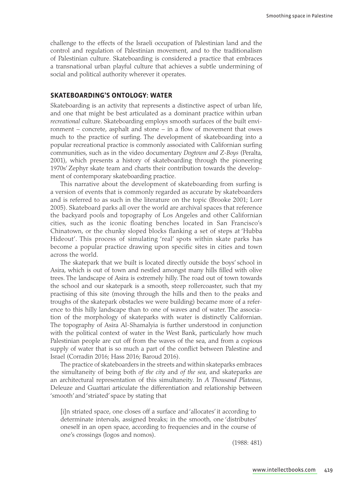challenge to the effects of the Israeli occupation of Palestinian land and the control and regulation of Palestinian movement, and to the traditionalism of Palestinian culture. Skateboarding is considered a practice that embraces a transnational urban playful culture that achieves a subtle undermining of social and political authority wherever it operates.

### **Skateboarding's ontology: Water**

Skateboarding is an activity that represents a distinctive aspect of urban life, and one that might be best articulated as a dominant practice within urban *recreational* culture. Skateboarding employs smooth surfaces of the built environment – concrete, asphalt and stone – in a flow of movement that owes much to the practice of surfing. The development of skateboarding into a popular recreational practice is commonly associated with Californian surfing communities, such as in the video documentary *Dogtown and Z-Boys* (Peralta, 2001), which presents a history of skateboarding through the pioneering 1970s' Zephyr skate team and charts their contribution towards the development of contemporary skateboarding practice.

This narrative about the development of skateboarding from surfing is a version of events that is commonly regarded as accurate by skateboarders and is referred to as such in the literature on the topic (Brooke 2001; Lorr 2005). Skateboard parks all over the world are archival spaces that reference the backyard pools and topography of Los Angeles and other Californian cities, such as the iconic floating benches located in San Francisco's Chinatown, or the chunky sloped blocks flanking a set of steps at 'Hubba Hideout'. This process of simulating 'real' spots within skate parks has become a popular practice drawing upon specific sites in cities and town across the world.

The skatepark that we built is located directly outside the boys' school in Asira, which is out of town and nestled amongst many hills filled with olive trees. The landscape of Asira is extremely hilly. The road out of town towards the school and our skatepark is a smooth, steep rollercoaster, such that my practising of this site (moving through the hills and then to the peaks and troughs of the skatepark obstacles we were building) became more of a reference to this hilly landscape than to one of waves and of water. The association of the morphology of skateparks with water is distinctly Californian. The topography of Asira Al-Shamalyia is further understood in conjunction with the political context of water in the West Bank, particularly how much Palestinian people are cut off from the waves of the sea, and from a copious supply of water that is so much a part of the conflict between Palestine and Israel (Corradin 2016; Hass 2016; Baroud 2016).

The practice of skateboarders in the streets and within skateparks embraces the simultaneity of being both *of the city* and *of the sea*, and skateparks are an architectural representation of this simultaneity. In *A Thousand Plateaus*, Deleuze and Guattari articulate the differentiation and relationship between 'smooth' and 'striated' space by stating that

[i]n striated space, one closes off a surface and 'allocates' it according to determinate intervals, assigned breaks; in the smooth, one 'distributes' oneself in an open space, according to frequencies and in the course of one's crossings (logos and nomos).

(1988: 481)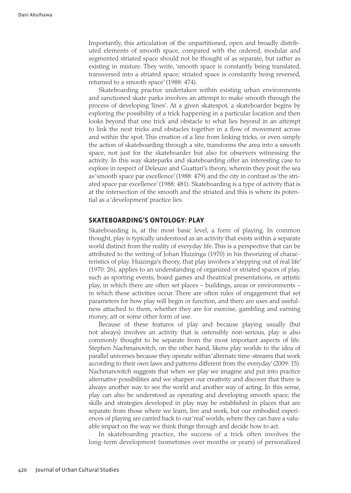Importantly, this articulation of the unpartitioned, open and broadly distributed elements of smooth space, compared with the ordered, modular and segmented striated space should not be thought of as separate, but rather as existing in mixture. They write, 'smooth space is constantly being translated, transversed into a striated space; striated space is constantly being reversed, returned to a smooth space' (1988: 474).

Skateboarding practice undertaken within existing urban environments and sanctioned skate parks involves an attempt to make smooth through the process of developing 'lines'. At a given skatespot, a skateboarder begins by exploring the possibility of a trick happening in a particular location and then looks beyond that one trick and obstacle to what lies beyond in an attempt to link the next tricks and obstacles together in a flow of movement across and within the spot. This creation of a line from linking tricks, or even simply the action of skateboarding through a site, transforms the area into a smooth space, not just for the skateboarder but also for observers witnessing the activity. In this way skateparks and skateboarding offer an interesting case to explore in respect of Deleuze and Guattari's theory, wherein they posit the sea as 'smooth space par excellence' (1988: 479) and the city in contrast as 'the striated space par excellence' (1988: 481). Skateboarding is a type of activity that is at the intersection of the smooth and the striated and this is where its potential as a 'development' practice lies.

#### **Skateboarding's ontology: Play**

Skateboarding is, at the most basic level, a form of playing. In common thought, play is typically understood as an activity that exists within a separate world distinct from the reality of everyday life. This is a perspective that can be attributed to the writing of Johan Huizinga (1970) in his theorizing of characteristics of play. Huizinga's theory, that play involves a 'stepping out of real life' (1970: 26), applies to an understanding of organized or striated spaces of play, such as sporting events, board games and theatrical presentations, or artistic play, in which there are often set places – buildings, areas or environments – in which these activities occur. There are often rules of engagement that set parameters for how play will begin or function, and there are uses and usefulness attached to them, whether they are for exercise, gambling and earning money, art or some other form of use.

Because of these features of play and because playing usually (but not always) involves an activity that is ostensibly non-serious, play is also commonly thought to be separate from the most important aspects of life. Stephen Nachmanovitch, on the other hand, likens play worlds to the idea of parallel universes because they operate within 'alternate time-streams that work according to their own laws and patterns different from the everyday' (2009: 15). Nachmanovitch suggests that when we play we imagine and put into practice alternative possibilities and we sharpen our creativity and discover that there is always another way to see the world and another way of acting. In this sense, play can also be understood as operating and developing smooth space; the skills and strategies developed in play may be established in places that are separate from those where we learn, live and work, but our embodied experiences of playing are carried back to our 'real' worlds, where they can have a valuable impact on the way we think things through and decide how to act.

In skateboarding practice, the success of a trick often involves the long-term development (sometimes over months or years) of personalized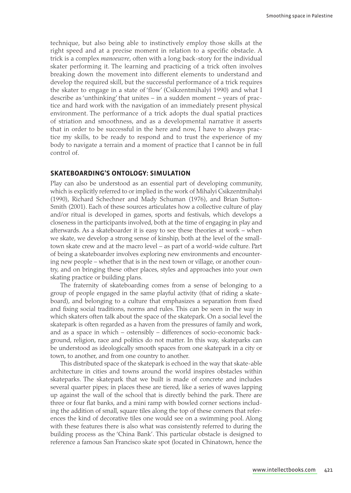technique, but also being able to instinctively employ those skills at the right speed and at a precise moment in relation to a specific obstacle. A trick is a complex *manoeuvre*, often with a long back-story for the individual skater performing it. The learning and practicing of a trick often involves breaking down the movement into different elements to understand and develop the required skill, but the successful performance of a trick requires the skater to engage in a state of 'flow' (Csikzentmihalyi 1990) and what I describe as 'unthinking' that unites – in a sudden moment – years of practice and hard work with the navigation of an immediately present physical environment. The performance of a trick adopts the dual spatial practices of striation and smoothness, and as a developmental narrative it asserts that in order to be successful in the here and now, I have to always practice my skills, to be ready to respond and to trust the experience of my body to navigate a terrain and a moment of practice that I cannot be in full control of.

#### **Skateboarding's ontology: Simulation**

Play can also be understood as an essential part of developing community, which is explicitly referred to or implied in the work of Mihalyi Csikzentmihalyi (1990), Richard Schechner and Mady Schuman (1976), and Brian Sutton-Smith (2001). Each of these sources articulates how a collective culture of play and/or ritual is developed in games, sports and festivals, which develops a closeness in the participants involved, both at the time of engaging in play and afterwards. As a skateboarder it is easy to see these theories at work – when we skate, we develop a strong sense of kinship, both at the level of the smalltown skate crew and at the macro level – as part of a world-wide culture. Part of being a skateboarder involves exploring new environments and encountering new people – whether that is in the next town or village, or another country, and on bringing these other places, styles and approaches into your own skating practice or building plans.

The fraternity of skateboarding comes from a sense of belonging to a group of people engaged in the same playful activity (that of riding a skateboard), and belonging to a culture that emphasizes a separation from fixed and fixing social traditions, norms and rules. This can be seen in the way in which skaters often talk about the space of the skatepark. On a social level the skatepark is often regarded as a haven from the pressures of family and work, and as a space in which – ostensibly – differences of socio-economic background, religion, race and politics do not matter. In this way, skateparks can be understood as ideologically smooth spaces from one skatepark in a city or town, to another, and from one country to another.

This distributed space of the skatepark is echoed in the way that skate-able architecture in cities and towns around the world inspires obstacles within skateparks. The skatepark that we built is made of concrete and includes several quarter pipes; in places these are tiered, like a series of waves lapping up against the wall of the school that is directly behind the park. There are three or four flat banks, and a mini ramp with bowled corner sections including the addition of small, square tiles along the top of these corners that references the kind of decorative tiles one would see on a swimming pool. Along with these features there is also what was consistently referred to during the building process as the 'China Bank'. This particular obstacle is designed to reference a famous San Francisco skate spot (located in Chinatown, hence the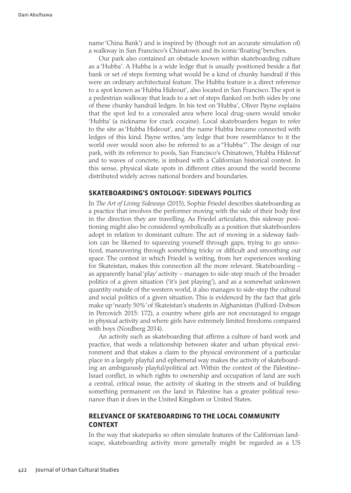name 'China Bank') and is inspired by (though not an accurate simulation of) a walkway in San Francisco's Chinatown and its iconic 'floating' benches.

Our park also contained an obstacle known within skateboarding culture as a 'Hubba'. A Hubba is a wide ledge that is usually positioned beside a flat bank or set of steps forming what would be a kind of chunky handrail if this were an ordinary architectural feature. The Hubba feature is a direct reference to a spot known as 'Hubba Hideout', also located in San Francisco. The spot is a pedestrian walkway that leads to a set of steps flanked on both sides by one of these chunky handrail ledges. In his text on 'Hubba', Oliver Payne explains that the spot led to a concealed area where local drug-users would smoke 'Hubba' (a nickname for crack cocaine). Local skateboarders began to refer to the site as 'Hubba Hideout', and the name Hubba became connected with ledges of this kind. Payne writes, 'any ledge that bore resemblance to it the world over would soon also be referred to as a "Hubba"'. The design of our park, with its reference to pools, San Francisco's Chinatown, 'Hubba Hideout' and to waves of concrete, is imbued with a Californian historical context. In this sense, physical skate spots in different cities around the world become distributed widely across national borders and boundaries.

## **Skateboarding's ontology: Sideways politics**

In *The Art of Living Sideways* (2015), Sophie Friedel describes skateboarding as a practice that involves the performer moving with the side of their body first in the direction they are travelling. As Friedel articulates, this sideway positioning might also be considered symbolically as a position that skateboarders adopt in relation to dominant culture. The act of moving in a sideway fashion can be likened to squeezing yourself through gaps, trying to go unnoticed, maneuvering through something tricky or difficult and smoothing out space. The context in which Friedel is writing, from her experiences working for Skateistan, makes this connection all the more relevant. Skateboarding – as apparently banal 'play' activity – manages to side-step much of the broader politics of a given situation ('it's just playing'), and as a somewhat unknown quantity outside of the western world, it also manages to side-step the cultural and social politics of a given situation. This is evidenced by the fact that girls make up 'nearly 50%' of Skateistan's students in Afghanistan (Fulford-Dobson in Percovich 2015: 172), a country where girls are not encouraged to engage in physical activity and where girls have extremely limited freedoms compared with boys (Nordberg 2014).

An activity such as skateboarding that affirms a culture of hard work and practice, that weds a relationship between skater and urban physical environment and that stakes a claim to the physical environment of a particular place in a largely playful and ephemeral way makes the activity of skateboarding an ambiguously playful/political act. Within the context of the Palestine– Israel conflict, in which rights to ownership and occupation of land are such a central, critical issue, the activity of skating in the streets and of building something permanent on the land in Palestine has a greater political resonance than it does in the United Kingdom or United States.

## **Relevance of skateboarding to the local community context**

In the way that skateparks so often simulate features of the Californian landscape, skateboarding activity more generally might be regarded as a US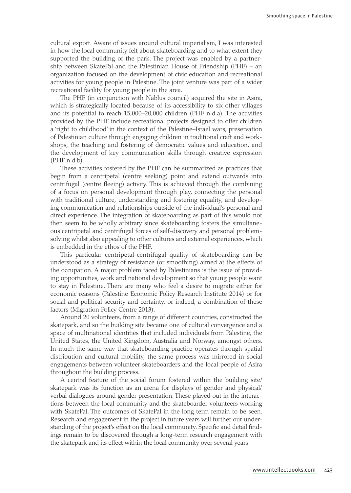cultural export. Aware of issues around cultural imperialism, I was interested in how the local community felt about skateboarding and to what extent they supported the building of the park. The project was enabled by a partnership between SkatePal and the Palestinian House of Friendship (PHF) – an organization focused on the development of civic education and recreational activities for young people in Palestine. The joint venture was part of a wider recreational facility for young people in the area.

The PHF (in conjunction with Nablus council) acquired the site in Asira, which is strategically located because of its accessibility to six other villages and its potential to reach 15,000–20,000 children (PHF n.d.a). The activities provided by the PHF include recreational projects designed to offer children a 'right to childhood' in the context of the Palestine–Israel wars, preservation of Palestinian culture through engaging children in traditional craft and workshops, the teaching and fostering of democratic values and education, and the development of key communication skills through creative expression (PHF n.d.b).

These activities fostered by the PHF can be summarized as practices that begin from a centripetal (centre seeking) point and extend outwards into centrifugal (centre fleeing) activity. This is achieved through the combining of a focus on personal development through play, connecting the personal with traditional culture, understanding and fostering equality, and developing communication and relationships outside of the individual's personal and direct experience. The integration of skateboarding as part of this would not then seem to be wholly arbitrary since skateboarding fosters the simultaneous centripetal and centrifugal forces of self-discovery and personal problemsolving whilst also appealing to other cultures and external experiences, which is embedded in the ethos of the PHF.

This particular centripetal-centrifugal quality of skateboarding can be understood as a strategy of resistance (or smoothing) aimed at the effects of the occupation. A major problem faced by Palestinians is the issue of providing opportunities, work and national development so that young people want to stay in Palestine. There are many who feel a desire to migrate either for economic reasons (Palestine Economic Policy Research Institute 2014) or for social and political security and certainty, or indeed, a combination of these factors (Migration Policy Centre 2013).

Around 20 volunteers, from a range of different countries, constructed the skatepark, and so the building site became one of cultural convergence and a space of multinational identities that included individuals from Palestine, the United States, the United Kingdom, Australia and Norway, amongst others. In much the same way that skateboarding practice operates through spatial distribution and cultural mobility, the same process was mirrored in social engagements between volunteer skateboarders and the local people of Asira throughout the building process.

A central feature of the social forum fostered within the building site/ skatepark was its function as an arena for displays of gender and physical/ verbal dialogues around gender presentation. These played out in the interactions between the local community and the skateboarder volunteers working with SkatePal. The outcomes of SkatePal in the long term remain to be seen. Research and engagement in the project in future years will further our understanding of the project's effect on the local community. Specific and detail findings remain to be discovered through a long-term research engagement with the skatepark and its effect within the local community over several years.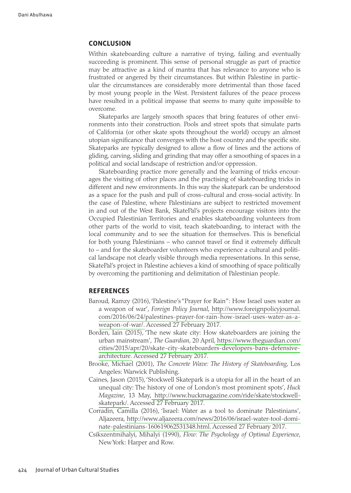#### **Conclusion**

Within skateboarding culture a narrative of trying, failing and eventually succeeding is prominent. This sense of personal struggle as part of practice may be attractive as a kind of mantra that has relevance to anyone who is frustrated or angered by their circumstances. But within Palestine in particular the circumstances are considerably more detrimental than those faced by most young people in the West. Persistent failures of the peace process have resulted in a political impasse that seems to many quite impossible to overcome.

Skateparks are largely smooth spaces that bring features of other environments into their construction. Pools and street spots that simulate parts of California (or other skate spots throughout the world) occupy an almost utopian significance that converges with the host country and the specific site. Skateparks are typically designed to allow a flow of lines and the actions of gliding, carving, sliding and grinding that may offer a smoothing of spaces in a political and social landscape of restriction and/or oppression.

Skateboarding practice more generally and the learning of tricks encourages the visiting of other places and the practising of skateboarding tricks in different and new environments. In this way the skatepark can be understood as a space for the push and pull of cross-cultural and cross-social activity. In the case of Palestine, where Palestinians are subject to restricted movement in and out of the West Bank, SkatePal's projects encourage visitors into the Occupied Palestinian Territories and enables skateboarding volunteers from other parts of the world to visit, teach skateboarding, to interact with the local community and to see the situation for themselves. This is beneficial for both young Palestinians – who cannot travel or find it extremely difficult to – and for the skateboarder volunteers who experience a cultural and political landscape not clearly visible through media representations. In this sense, SkatePal's project in Palestine achieves a kind of smoothing of space politically by overcoming the partitioning and delimitation of Palestinian people.

## **References**

- Baroud, Ramzy (2016), 'Palestine's "Prayer for Rain": How Israel uses water as a weapon of war', *Foreign Policy Journal*[, http://www.foreignpolic](http://www.foreignpolicyjournal.com/2016/06/24/palestines-prayer-for-rain-how-israel-uses-water-as-a-weapon-of-war/)yjournal. [com/2016/06/24/palestines-prayer-for-rain-how-israel-uses-wa](http://www.foreignpolicyjournal.com/2016/06/24/palestines-prayer-for-rain-how-israel-uses-water-as-a-weapon-of-war/)ter-as-a[weapon](http://www.foreignpolicyjournal.com/2016/06/24/palestines-prayer-for-rain-how-israel-uses-water-as-a-weapon-of-war/)-of-war/. Accessed 27 February 2017.
- Borden, Iain (2015), 'The new skate city: How skateboarders are joining the urban mainstream', *The Guardian*[, 20 April, https://www.theguard](https://www.theguardian.com/cities/2015/apr/20/skate-city-skateboarders-developers-bans-defensive-architecture)ian.com/ [cities/2015/apr/20/skate-city-skateboarders-developers-bans-d](https://www.theguardian.com/cities/2015/apr/20/skate-city-skateboarders-developers-bans-defensive-architecture)efensive[arch](https://www.theguardian.com/cities/2015/apr/20/skate-city-skateboarders-developers-bans-defensive-architecture)itecture. Accessed 27 February 2017.
- Brooke, Michael (2001), *The Concrete Wave: The History of Skateboarding*, Los Angeles: Warwick Publishing.
- Caines, Jason (2015), 'Stockwell Skatepark is a utopia for all in the heart of an unequal city: The history of one of London's most prominent spots', *Huck Magazine*, [13 May, http://www.huckmagazine.com/ride/skate/st](http://www.huckmagazine.com/ride/skate/stockwell-skatepark/)ockwell[sk](http://www.huckmagazine.com/ride/skate/stockwell-skatepark/)atepark/. Accessed 27 February 2017.
- Corradin, Camilla (2016), 'Israel: Water as a tool to dominate Palestinians', [Aljazeera, http://www.aljazeera.com/news/2016/06/israel-water-to](http://www.aljazeera.com/news/2016/06/israel-water-tool-dominate-palestinians-160619062531348.html)ol-domi[nate-palestinians-160619062531](http://www.aljazeera.com/news/2016/06/israel-water-tool-dominate-palestinians-160619062531348.html)348.html. Accessed 27 February 2017.
- Csikszentmihalyi, Mihalyi (1990), *Flow: The Psychology of Optimal Experience*, New York: Harper and Row.

424 Journal of Urban Cultural Studies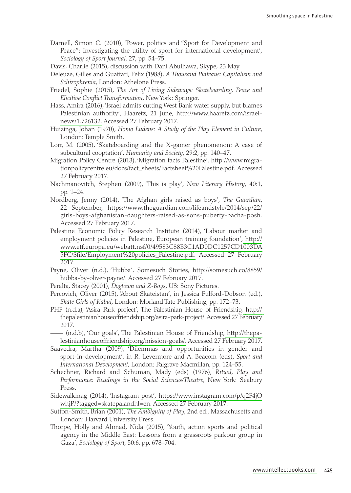- Darnell, Simon C. (2010), 'Power, politics and "Sport for Development and Peace": Investigating the utility of sport for international development', *Sociology of Sport Journal*, 27, pp. 54–75.
- Davis, Charlie (2015), discussion with Dani Abulhawa, Skype, 23 May.
- Deleuze, Gilles and Guattari, Felix (1988), *A Thousand Plateaus: Capitalism and Schizophrenia*, London: Athelone Press.
- Friedel, Sophie (2015), *The Art of Living Sideways: Skateboarding, Peace and Elicitive Conflict Transformation*, New York: Springer.
- Hass, Amira (2016), 'Israel admits cutting West Bank water supply, but blames Palestinian authority', Haaretz, [21 June, http://www.haaretz.co](http://www.haaretz.com/israel-news/1.726132)m/israel[news/1](http://www.haaretz.com/israel-news/1.726132).726132. Accessed 27 February 2017.
- Huizinga, Johan (1970), *Homo Ludens: A Study of the Play Element in Culture*, London: Temple Smith.
- Lorr, M. (2005), 'Skateboarding and the X-gamer phenomenon: A case of subcultural cooptation', *Humanity and Society*, 29:2, pp. 140–47.
- Migration Policy Centre (2013), 'Migration facts [Palestine', http://ww](http://www.migrationpolicycentre.eu/docs/fact_sheets/Factsheet%20Palestine.pdf)w.migra[tionpolicycentre.eu/docs/fact\\_sheets/Factsheet%20Pales](http://www.migrationpolicycentre.eu/docs/fact_sheets/Factsheet%20Palestine.pdf)tine.pdf. Accessed 27 February 2017.
- Nachmanovitch, Stephen (2009), 'This is play', *New Literary History*, 40:1, pp. 1–24.
- Nordberg, Jenny (2014), 'The Afghan girls raised as boys', *The Guardian*, 22 S[eptember, https://www.theguardian.com/lifeandstyle/2014](https://www.theguardian.com/lifeandstyle/2014/sep/22/girls-boys-afghanistan-daughters-raised-as-sons-puberty-bacha-posh)/sep/22/ [girls-boys-afghanistan-daughters-raised-as-sons-puberty-bac](https://www.theguardian.com/lifeandstyle/2014/sep/22/girls-boys-afghanistan-daughters-raised-as-sons-puberty-bacha-posh)ha-posh. Accessed 27 February 2017.
- Palestine Economic Policy Research Institute (2014), 'Labour market and employment policies in Palestine, European training fo[undation](http://www.etf.europa.eu/webatt.nsf/0/49583C88B3C1AD0DC1257CD1003DA5FC/$file/Employment%20policies_Palestine.pdf)', http:// [www.etf.europa.eu/webatt.nsf/0/49583C88B3C1AD0DC1257CD](http://www.etf.europa.eu/webatt.nsf/0/49583C88B3C1AD0DC1257CD1003DA5FC/$file/Employment%20policies_Palestine.pdf)1003DA [5FC/\\$file/Employment%20policies\\_Pale](http://www.etf.europa.eu/webatt.nsf/0/49583C88B3C1AD0DC1257CD1003DA5FC/$file/Employment%20policies_Palestine.pdf)stine.pdf. Accessed 27 February 2017.
- Payne, Oliver (n.d.), 'Hubba', Somesuc[h Stories, http://somesuch](http://somesuch.co/8859/hubba-by-oliver-payne/).co/8859/ [hubba-by-olive](http://somesuch.co/8859/hubba-by-oliver-payne/)r-payne/. Accessed 27 February 2017.
- Peralta, Stacey (2001), *Dogtown and Z-Boys*, US: Sony Pictures.
- Percovich, Oliver (2015), 'About Skateistan', in Jessica Fulford-Dobson (ed.), *Skate Girls of Kabul*, London: Morland Tate Publishing, pp. 172–73.
- PHF (n.d.a), 'Asira Park project', The Palestinian House of [Friendship](http://thepalestinianhouseoffriendship.org/asira-park-project/), http:// [thepalestinianhouseoffriendship.org/asira-park](http://thepalestinianhouseoffriendship.org/asira-park-project/)-project/. Accessed 27 February 2017.
- —— (n.d.b), 'Our goals', The Palestinian House of F[riendship, http](http://thepalestinianhouseoffriendship.org/mission-goals/)://thepa[lestinianhouseoffriendship.org/missio](http://thepalestinianhouseoffriendship.org/mission-goals/)n-goals/. Accessed 27 February 2017.
- Saavedra, Martha (2009), 'Dilemmas and opportunities in gender and sport-in-development', in R. Levermore and A. Beacom (eds), *Sport and International Development*, London: Palgrave Macmillan, pp. 124–55.
- Schechner, Richard and Schuman, Mady (eds) (1976), *Ritual, Play and Performance: Readings in the Social Sciences/Theatre*, New York: Seabury Press.
- Sidewalkmag (2014), 'Instag[ram post', https://www.instagram.com/p](https://www.instagram.com/p/q2F4jOwhjP/?tagged=skatepal&hl=en)/q2F4jO [whjP/?tagged=skatepala](https://www.instagram.com/p/q2F4jOwhjP/?tagged=skatepal&hl=en)ndhl=en. Accessed 27 February 2017.
- Sutton-Smith, Brian (2001), *The Ambiguity of Play*, 2nd ed., Massachusetts and London: Harvard University Press.
- Thorpe, Holly and Ahmad, Nida (2015), 'Youth, action sports and political agency in the Middle East: Lessons from a grassroots parkour group in Gaza', *Sociology of Sport*, 50:6, pp. 678–704.